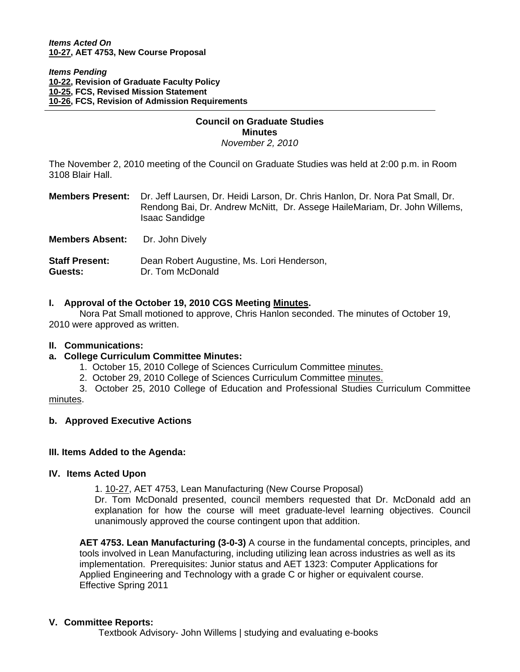Ì

### *Items Pending* **[10-22, R](http://www.eiu.edu/~eiucgs/currentagendaitems/agenda10-22.pdf)evision of Graduate Faculty Policy [10-25, F](http://www.eiu.edu/~eiucgs/currentagendaitems/agenda10-25.pdf)CS, Revised Mission Statement [10-26, F](http://www.eiu.edu/~eiucgs/currentagendaitems/agenda10-26.pdf)CS, Revision of Admission Requirements**

### **Council on Graduate Studies Minutes**  *November 2, 2010*

The November 2, 2010 meeting of the Council on Graduate Studies was held at 2:00 p.m. in Room 3108 Blair Hall.

|                                  | <b>Members Present:</b> Dr. Jeff Laursen, Dr. Heidi Larson, Dr. Chris Hanlon, Dr. Nora Pat Small, Dr.<br>Rendong Bai, Dr. Andrew McNitt, Dr. Assege HaileMariam, Dr. John Willems,<br><b>Isaac Sandidge</b> |
|----------------------------------|-------------------------------------------------------------------------------------------------------------------------------------------------------------------------------------------------------------|
| <b>Members Absent:</b>           | Dr. John Dively                                                                                                                                                                                             |
| <b>Staff Present:</b><br>Guests: | Dean Robert Augustine, Ms. Lori Henderson,<br>Dr. Tom McDonald                                                                                                                                              |

# **I. Approval of the October 19, 2010 CGS Meetin[g Minutes.](http://castle.eiu.edu/~eiucgs/currentminutes/Minutes10-19-10.pdf)**

 Nora Pat Small motioned to approve, Chris Hanlon seconded. The minutes of October 19, 2010 were approved as written.

# **II. Communications:**

# **a. College Curriculum Committee Minutes:**

- 1. October 15, 2010 College of Sciences Curriculum Committee [minutes.](http://castle.eiu.edu/~eiucgs/currentagendaitems/COSMin10-15-10.pdf)
- 2. October 29, 2010 College of Sciences Curriculum Committee [minutes.](http://castle.eiu.edu/~eiucgs/currentagendaitems/COSMin10-29-10.pdf)

 3. October 25, 2010 College of Education and Professional Studies Curriculum Committee [minutes.](http://castle.eiu.edu/~eiucgs/currentagendaitems/CEPSMin10-25-10.pdf) 

# **b. Approved Executive Actions**

# **III. Items Added to the Agenda:**

# **IV. Items Acted Upon**

1. [10-27, A](http://www.eiu.edu/~eiucgs/currentagendaitems/agenda10-27.pdf)ET 4753, Lean Manufacturing (New Course Proposal)

Dr. Tom McDonald presented, council members requested that Dr. McDonald add an explanation for how the course will meet graduate-level learning objectives. Council unanimously approved the course contingent upon that addition.

**AET 4753. Lean Manufacturing (3-0-3)** A course in the fundamental concepts, principles, and tools involved in Lean Manufacturing, including utilizing lean across industries as well as its implementation. Prerequisites: Junior status and AET 1323: Computer Applications for Applied Engineering and Technology with a grade C or higher or equivalent course. Effective Spring 2011

# **V. Committee Reports:**

Textbook Advisory- John Willems | studying and evaluating e-books